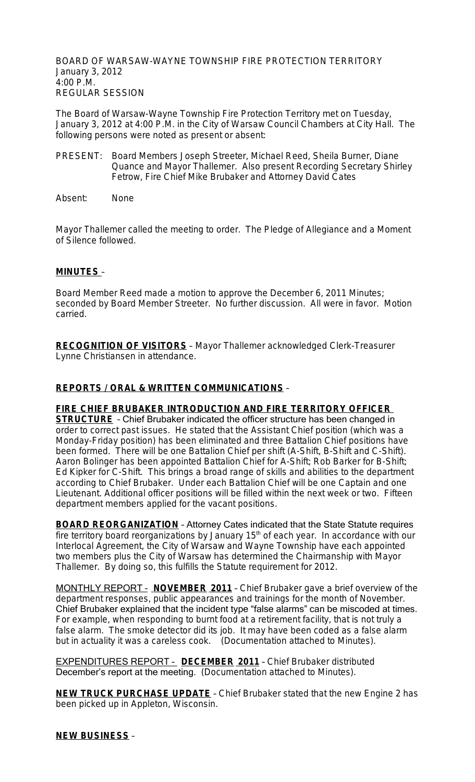BOARD OF WARSAW-WAYNE TOWNSHIP FIRE PROTECTION TERRITORY January 3, 2012 4:00 P.M. REGULAR SESSION

The Board of Warsaw-Wayne Township Fire Protection Territory met on Tuesday, January 3, 2012 at 4:00 P.M. in the City of Warsaw Council Chambers at City Hall. The following persons were noted as present or absent:

- PRESENT: Board Members Joseph Streeter, Michael Reed, Sheila Burner, Diane Quance and Mayor Thallemer. Also present Recording Secretary Shirley Fetrow, Fire Chief Mike Brubaker and Attorney David Cates
- Absent: None

Mayor Thallemer called the meeting to order. The Pledge of Allegiance and a Moment of Silence followed.

## **MINUTES** –

Board Member Reed made a motion to approve the December 6, 2011 Minutes; seconded by Board Member Streeter. No further discussion. All were in favor. Motion carried.

**RECOGNITION OF VISITORS** – Mayor Thallemer acknowledged Clerk-Treasurer Lynne Christiansen in attendance.

### **REPORTS / ORAL & WRITTEN COMMUNICATIONS** –

**FIRE CHIEF BRUBAKER INTRODUCTION AND FIRE TERRITORY OFFICER** 

**STRUCTURE** - Chief Brubaker indicated the officer structure has been changed in order to correct past issues. He stated that the Assistant Chief position (which was a Monday-Friday position) has been eliminated and three Battalion Chief positions have been formed. There will be one Battalion Chief per shift (A-Shift, B-Shift and C-Shift). Aaron Bolinger has been appointed Battalion Chief for A-Shift; Rob Barker for B-Shift; Ed Kipker for C-Shift. This brings a broad range of skills and abilities to the department according to Chief Brubaker. Under each Battalion Chief will be one Captain and one Lieutenant. Additional officer positions will be filled within the next week or two. Fifteen department members applied for the vacant positions.

**BOARD REORGANIZATION** - Attorney Cates indicated that the State Statute requires fire territory board reorganizations by January  $15<sup>th</sup>$  of each year. In accordance with our Interlocal Agreement, the City of Warsaw and Wayne Township have each appointed two members plus the City of Warsaw has determined the Chairmanship with Mayor Thallemer. By doing so, this fulfills the Statute requirement for 2012.

MONTHLY REPORT – **NOVEMBER 2011** – Chief Brubaker gave a brief overview of the department responses, public appearances and trainings for the month of November. Chief Brubaker explained that the incident type "false alarms" can be miscoded at times. For example, when responding to burnt food at a retirement facility, that is not truly a false alarm. The smoke detector did its job. It may have been coded as a false alarm but in actuality it was a careless cook. (Documentation attached to Minutes).

EXPENDITURES REPORT – **DECEMBER 2011** – Chief Brubaker distributed December's report at the meeting. (Documentation attached to Minutes).

**NEW TRUCK PURCHASE UPDATE** – Chief Brubaker stated that the new Engine 2 has been picked up in Appleton, Wisconsin.

## **NEW BUSINESS** –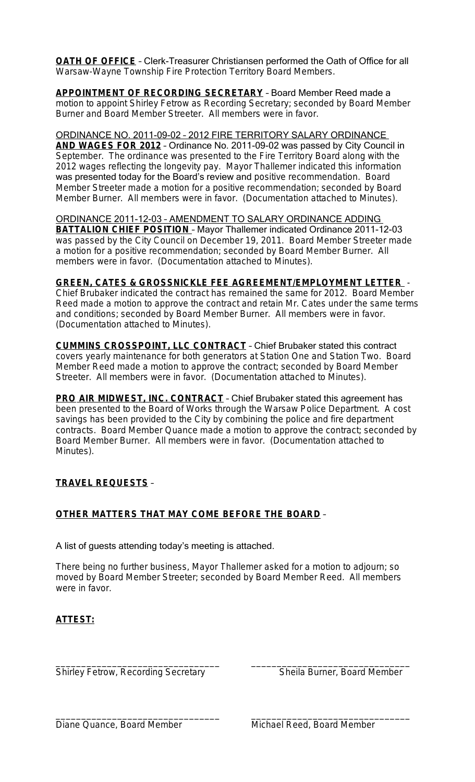**OATH OF OFFICE** – Clerk-Treasurer Christiansen performed the Oath of Office for all Warsaw-Wayne Township Fire Protection Territory Board Members.

**APPOINTMENT OF RECORDING SECRETARY** – Board Member Reed made a motion to appoint Shirley Fetrow as Recording Secretary; seconded by Board Member Burner and Board Member Streeter. All members were in favor.

## ORDINANCE NO. 2011-09-02 – 2012 FIRE TERRITORY SALARY ORDINANCE

**AND WAGES FOR 2012** – Ordinance No. 2011-09-02 was passed by City Council in September. The ordinance was presented to the Fire Territory Board along with the 2012 wages reflecting the longevity pay. Mayor Thallemer indicated this information was presented today for the Board's review and positive recommendation. Board Member Streeter made a motion for a positive recommendation; seconded by Board Member Burner. All members were in favor. (Documentation attached to Minutes).

ORDINANCE 2011-12-03 – AMENDMENT TO SALARY ORDINANCE ADDING **BATTALION CHIEF POSITION** - Mayor Thallemer indicated Ordinance 2011-12-03 was passed by the City Council on December 19, 2011. Board Member Streeter made a motion for a positive recommendation; seconded by Board Member Burner. All members were in favor. (Documentation attached to Minutes).

#### **GREEN, CATES & GROSSNICKLE FEE AGREEMENT/EMPLOYMENT LETTER** -

Chief Brubaker indicated the contract has remained the same for 2012. Board Member Reed made a motion to approve the contract and retain Mr. Cates under the same terms and conditions; seconded by Board Member Burner. All members were in favor. (Documentation attached to Minutes).

**CUMMINS CROSSPOINT, LLC CONTRACT** – Chief Brubaker stated this contract covers yearly maintenance for both generators at Station One and Station Two. Board Member Reed made a motion to approve the contract; seconded by Board Member Streeter. All members were in favor. (Documentation attached to Minutes).

**PRO AIR MIDWEST, INC. CONTRACT** - Chief Brubaker stated this agreement has been presented to the Board of Works through the Warsaw Police Department. A cost savings has been provided to the City by combining the police and fire department contracts. Board Member Quance made a motion to approve the contract; seconded by Board Member Burner. All members were in favor. (Documentation attached to Minutes).

## **TRAVEL REQUESTS** –

## **OTHER MATTERS THAT MAY COME BEFORE THE BOARD** –

#### A list of guests attending today's meeting is attached.

There being no further business, Mayor Thallemer asked for a motion to adjourn; so moved by Board Member Streeter; seconded by Board Member Reed. All members were in favor.

\_\_\_\_\_\_\_\_\_\_\_\_\_\_\_\_\_\_\_\_\_\_\_\_\_\_\_\_\_\_\_\_ \_\_\_\_\_\_\_\_\_\_\_\_\_\_\_\_\_\_\_\_\_\_\_\_\_\_\_\_\_\_\_

# **ATTEST:**

\_\_\_\_\_\_\_\_\_\_\_\_\_\_\_\_\_\_\_\_\_\_\_\_\_\_\_\_\_\_\_\_ \_\_\_\_\_\_\_\_\_\_\_\_\_\_\_\_\_\_\_\_\_\_\_\_\_\_\_\_\_\_\_ Shirley Fetrow, Recording Secretary Sheila Burner, Board Member

Diane Quance, Board Member Michael Reed, Board Member